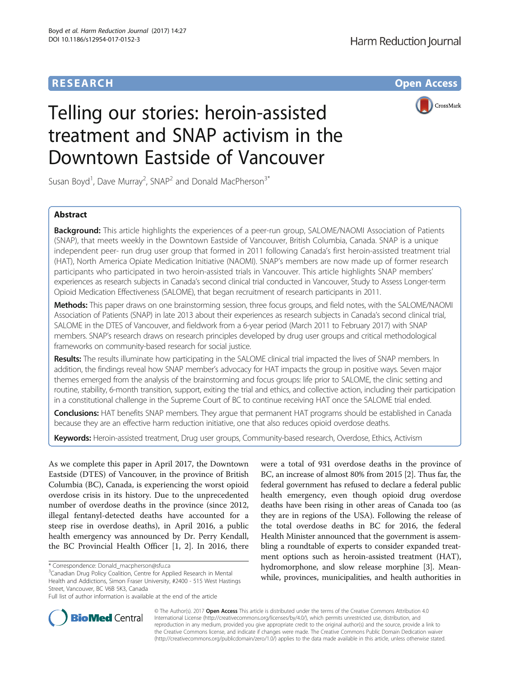# **RESEARCH CHE Open Access**



# Telling our stories: heroin-assisted treatment and SNAP activism in the Downtown Eastside of Vancouver

Susan Boyd<sup>1</sup>, Dave Murray<sup>2</sup>, SNAP<sup>2</sup> and Donald MacPherson<sup>3\*</sup>

# Abstract

**Background:** This article highlights the experiences of a peer-run group, SALOME/NAOMI Association of Patients (SNAP), that meets weekly in the Downtown Eastside of Vancouver, British Columbia, Canada. SNAP is a unique independent peer- run drug user group that formed in 2011 following Canada's first heroin-assisted treatment trial (HAT), North America Opiate Medication Initiative (NAOMI). SNAP's members are now made up of former research participants who participated in two heroin-assisted trials in Vancouver. This article highlights SNAP members' experiences as research subjects in Canada's second clinical trial conducted in Vancouver, Study to Assess Longer-term Opioid Medication Effectiveness (SALOME), that began recruitment of research participants in 2011.

Methods: This paper draws on one brainstorming session, three focus groups, and field notes, with the SALOME/NAOMI Association of Patients (SNAP) in late 2013 about their experiences as research subjects in Canada's second clinical trial, SALOME in the DTES of Vancouver, and fieldwork from a 6-year period (March 2011 to February 2017) with SNAP members. SNAP's research draws on research principles developed by drug user groups and critical methodological frameworks on community-based research for social justice.

Results: The results illuminate how participating in the SALOME clinical trial impacted the lives of SNAP members. In addition, the findings reveal how SNAP member's advocacy for HAT impacts the group in positive ways. Seven major themes emerged from the analysis of the brainstorming and focus groups: life prior to SALOME, the clinic setting and routine, stability, 6-month transition, support, exiting the trial and ethics, and collective action, including their participation in a constitutional challenge in the Supreme Court of BC to continue receiving HAT once the SALOME trial ended.

Conclusions: HAT benefits SNAP members. They argue that permanent HAT programs should be established in Canada because they are an effective harm reduction initiative, one that also reduces opioid overdose deaths.

Keywords: Heroin-assisted treatment, Drug user groups, Community-based research, Overdose, Ethics, Activism

As we complete this paper in April 2017, the Downtown Eastside (DTES) of Vancouver, in the province of British Columbia (BC), Canada, is experiencing the worst opioid overdose crisis in its history. Due to the unprecedented number of overdose deaths in the province (since 2012, illegal fentanyl-detected deaths have accounted for a steep rise in overdose deaths), in April 2016, a public health emergency was announced by Dr. Perry Kendall, the BC Provincial Health Officer [\[1, 2](#page-12-0)]. In 2016, there

were a total of 931 overdose deaths in the province of BC, an increase of almost 80% from 2015 [\[2](#page-12-0)]. Thus far, the federal government has refused to declare a federal public health emergency, even though opioid drug overdose deaths have been rising in other areas of Canada too (as they are in regions of the USA). Following the release of the total overdose deaths in BC for 2016, the federal Health Minister announced that the government is assembling a roundtable of experts to consider expanded treatment options such as heroin-assisted treatment (HAT), hydromorphone, and slow release morphine [\[3](#page-12-0)]. Meanwhile, provinces, municipalities, and health authorities in



© The Author(s). 2017 **Open Access** This article is distributed under the terms of the Creative Commons Attribution 4.0 International License [\(http://creativecommons.org/licenses/by/4.0/](http://creativecommons.org/licenses/by/4.0/)), which permits unrestricted use, distribution, and reproduction in any medium, provided you give appropriate credit to the original author(s) and the source, provide a link to the Creative Commons license, and indicate if changes were made. The Creative Commons Public Domain Dedication waiver [\(http://creativecommons.org/publicdomain/zero/1.0/](http://creativecommons.org/publicdomain/zero/1.0/)) applies to the data made available in this article, unless otherwise stated.

<sup>\*</sup> Correspondence: [Donald\\_macpherson@sfu.ca](mailto:Donald_macpherson@sfu.ca) <sup>3</sup>

<sup>&</sup>lt;sup>3</sup>Canadian Drug Policy Coalition, Centre for Applied Research in Mental Health and Addictions, Simon Fraser University, #2400 - 515 West Hastings Street, Vancouver, BC V6B 5K3, Canada

Full list of author information is available at the end of the article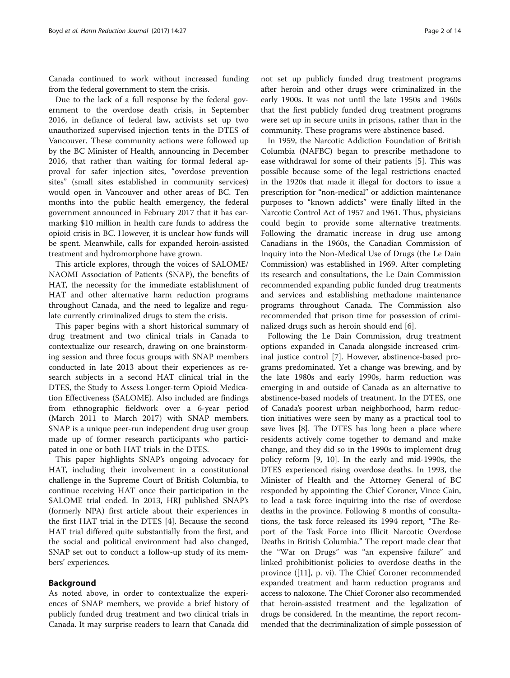Canada continued to work without increased funding from the federal government to stem the crisis.

Due to the lack of a full response by the federal government to the overdose death crisis, in September 2016, in defiance of federal law, activists set up two unauthorized supervised injection tents in the DTES of Vancouver. These community actions were followed up by the BC Minister of Health, announcing in December 2016, that rather than waiting for formal federal approval for safer injection sites, "overdose prevention sites" (small sites established in community services) would open in Vancouver and other areas of BC. Ten months into the public health emergency, the federal government announced in February 2017 that it has earmarking \$10 million in health care funds to address the opioid crisis in BC. However, it is unclear how funds will be spent. Meanwhile, calls for expanded heroin-assisted treatment and hydromorphone have grown.

This article explores, through the voices of SALOME/ NAOMI Association of Patients (SNAP), the benefits of HAT, the necessity for the immediate establishment of HAT and other alternative harm reduction programs throughout Canada, and the need to legalize and regulate currently criminalized drugs to stem the crisis.

This paper begins with a short historical summary of drug treatment and two clinical trials in Canada to contextualize our research, drawing on one brainstorming session and three focus groups with SNAP members conducted in late 2013 about their experiences as research subjects in a second HAT clinical trial in the DTES, the Study to Assess Longer-term Opioid Medication Effectiveness (SALOME). Also included are findings from ethnographic fieldwork over a 6-year period (March 2011 to March 2017) with SNAP members. SNAP is a unique peer-run independent drug user group made up of former research participants who participated in one or both HAT trials in the DTES.

This paper highlights SNAP's ongoing advocacy for HAT, including their involvement in a constitutional challenge in the Supreme Court of British Columbia, to continue receiving HAT once their participation in the SALOME trial ended. In 2013, HRJ published SNAP's (formerly NPA) first article about their experiences in the first HAT trial in the DTES [[4\]](#page-12-0). Because the second HAT trial differed quite substantially from the first, and the social and political environment had also changed, SNAP set out to conduct a follow-up study of its members' experiences.

# Background

As noted above, in order to contextualize the experiences of SNAP members, we provide a brief history of publicly funded drug treatment and two clinical trials in Canada. It may surprise readers to learn that Canada did

not set up publicly funded drug treatment programs after heroin and other drugs were criminalized in the early 1900s. It was not until the late 1950s and 1960s that the first publicly funded drug treatment programs were set up in secure units in prisons, rather than in the community. These programs were abstinence based.

In 1959, the Narcotic Addiction Foundation of British Columbia (NAFBC) began to prescribe methadone to ease withdrawal for some of their patients [[5\]](#page-12-0). This was possible because some of the legal restrictions enacted in the 1920s that made it illegal for doctors to issue a prescription for "non-medical" or addiction maintenance purposes to "known addicts" were finally lifted in the Narcotic Control Act of 1957 and 1961. Thus, physicians could begin to provide some alternative treatments. Following the dramatic increase in drug use among Canadians in the 1960s, the Canadian Commission of Inquiry into the Non-Medical Use of Drugs (the Le Dain Commission) was established in 1969. After completing its research and consultations, the Le Dain Commission recommended expanding public funded drug treatments and services and establishing methadone maintenance programs throughout Canada. The Commission also recommended that prison time for possession of criminalized drugs such as heroin should end [[6\]](#page-12-0).

Following the Le Dain Commission, drug treatment options expanded in Canada alongside increased criminal justice control [[7\]](#page-12-0). However, abstinence-based programs predominated. Yet a change was brewing, and by the late 1980s and early 1990s, harm reduction was emerging in and outside of Canada as an alternative to abstinence-based models of treatment. In the DTES, one of Canada's poorest urban neighborhood, harm reduction initiatives were seen by many as a practical tool to save lives [[8](#page-12-0)]. The DTES has long been a place where residents actively come together to demand and make change, and they did so in the 1990s to implement drug policy reform [\[9](#page-12-0), [10\]](#page-12-0). In the early and mid-1990s, the DTES experienced rising overdose deaths. In 1993, the Minister of Health and the Attorney General of BC responded by appointing the Chief Coroner, Vince Cain, to lead a task force inquiring into the rise of overdose deaths in the province. Following 8 months of consultations, the task force released its 1994 report, "The Report of the Task Force into Illicit Narcotic Overdose Deaths in British Columbia." The report made clear that the "War on Drugs" was "an expensive failure" and linked prohibitionist policies to overdose deaths in the province ([\[11\]](#page-12-0), p. vi). The Chief Coroner recommended expanded treatment and harm reduction programs and access to naloxone. The Chief Coroner also recommended that heroin-assisted treatment and the legalization of drugs be considered. In the meantime, the report recommended that the decriminalization of simple possession of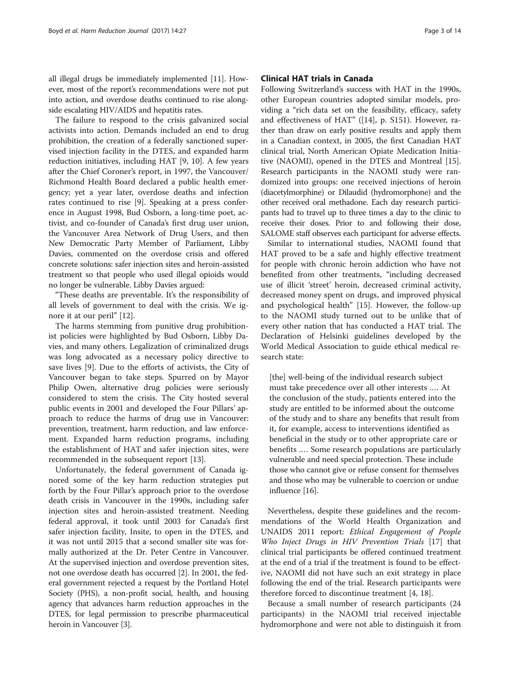all illegal drugs be immediately implemented [\[11\]](#page-12-0). However, most of the report's recommendations were not put into action, and overdose deaths continued to rise alongside escalating HIV/AIDS and hepatitis rates.

The failure to respond to the crisis galvanized social activists into action. Demands included an end to drug prohibition, the creation of a federally sanctioned supervised injection facility in the DTES, and expanded harm reduction initiatives, including HAT [[9, 10](#page-12-0)]. A few years after the Chief Coroner's report, in 1997, the Vancouver/ Richmond Health Board declared a public health emergency; yet a year later, overdose deaths and infection rates continued to rise [\[9](#page-12-0)]. Speaking at a press conference in August 1998, Bud Osborn, a long-time poet, activist, and co-founder of Canada's first drug user union, the Vancouver Area Network of Drug Users, and then New Democratic Party Member of Parliament, Libby Davies, commented on the overdose crisis and offered concrete solutions: safer injection sites and heroin-assisted treatment so that people who used illegal opioids would no longer be vulnerable. Libby Davies argued:

"These deaths are preventable. It's the responsibility of all levels of government to deal with the crisis. We ignore it at our peril" [[12](#page-12-0)].

The harms stemming from punitive drug prohibitionist policies were highlighted by Bud Osborn, Libby Davies, and many others. Legalization of criminalized drugs was long advocated as a necessary policy directive to save lives [\[9](#page-12-0)]. Due to the efforts of activists, the City of Vancouver began to take steps. Spurred on by Mayor Philip Owen, alternative drug policies were seriously considered to stem the crisis. The City hosted several public events in 2001 and developed the Four Pillars' approach to reduce the harms of drug use in Vancouver: prevention, treatment, harm reduction, and law enforcement. Expanded harm reduction programs, including the establishment of HAT and safer injection sites, were recommended in the subsequent report [\[13](#page-12-0)].

Unfortunately, the federal government of Canada ignored some of the key harm reduction strategies put forth by the Four Pillar's approach prior to the overdose death crisis in Vancouver in the 1990s, including safer injection sites and heroin-assisted treatment. Needing federal approval, it took until 2003 for Canada's first safer injection facility, Insite, to open in the DTES, and it was not until 2015 that a second smaller site was formally authorized at the Dr. Peter Centre in Vancouver. At the supervised injection and overdose prevention sites, not one overdose death has occurred [\[2\]](#page-12-0). In 2001, the federal government rejected a request by the Portland Hotel Society (PHS), a non-profit social, health, and housing agency that advances harm reduction approaches in the DTES, for legal permission to prescribe pharmaceutical heroin in Vancouver [\[3\]](#page-12-0).

# Clinical HAT trials in Canada

Following Switzerland's success with HAT in the 1990s, other European countries adopted similar models, providing a "rich data set on the feasibility, efficacy, safety and effectiveness of HAT" ([\[14](#page-12-0)], p. S151). However, rather than draw on early positive results and apply them in a Canadian context, in 2005, the first Canadian HAT clinical trial, North American Opiate Medication Initiative (NAOMI), opened in the DTES and Montreal [\[15](#page-12-0)]. Research participants in the NAOMI study were randomized into groups: one received injections of heroin (diacetylmorphine) or Dilaudid (hydromorphone) and the other received oral methadone. Each day research participants had to travel up to three times a day to the clinic to receive their doses. Prior to and following their dose, SALOME staff observes each participant for adverse effects.

Similar to international studies, NAOMI found that HAT proved to be a safe and highly effective treatment for people with chronic heroin addiction who have not benefited from other treatments, "including decreased use of illicit 'street' heroin, decreased criminal activity, decreased money spent on drugs, and improved physical and psychological health" [[15\]](#page-12-0). However, the follow-up to the NAOMI study turned out to be unlike that of every other nation that has conducted a HAT trial. The Declaration of Helsinki guidelines developed by the World Medical Association to guide ethical medical research state:

[the] well-being of the individual research subject must take precedence over all other interests .… At the conclusion of the study, patients entered into the study are entitled to be informed about the outcome of the study and to share any benefits that result from it, for example, access to interventions identified as beneficial in the study or to other appropriate care or benefits .… Some research populations are particularly vulnerable and need special protection. These include those who cannot give or refuse consent for themselves and those who may be vulnerable to coercion or undue influence [\[16\]](#page-12-0).

Nevertheless, despite these guidelines and the recommendations of the World Health Organization and UNAIDS 2011 report: Ethical Engagement of People Who Inject Drugs in HIV Prevention Trials [\[17\]](#page-12-0) that clinical trial participants be offered continued treatment at the end of a trial if the treatment is found to be effective, NAOMI did not have such an exit strategy in place following the end of the trial. Research participants were therefore forced to discontinue treatment [[4,](#page-12-0) [18\]](#page-13-0).

Because a small number of research participants (24 participants) in the NAOMI trial received injectable hydromorphone and were not able to distinguish it from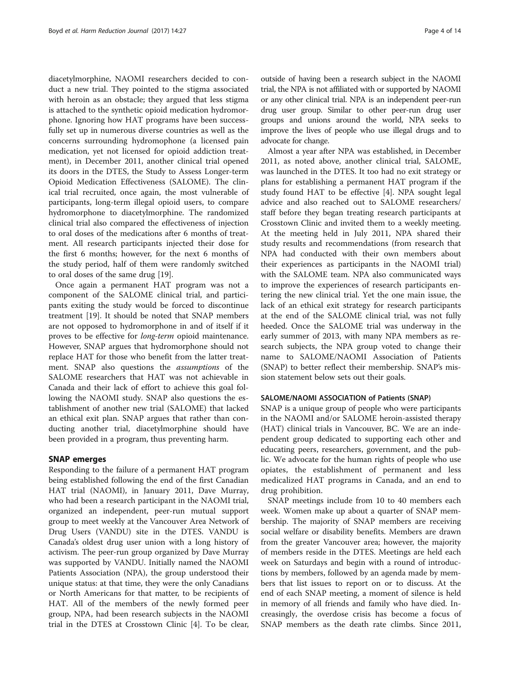diacetylmorphine, NAOMI researchers decided to conduct a new trial. They pointed to the stigma associated with heroin as an obstacle; they argued that less stigma is attached to the synthetic opioid medication hydromorphone. Ignoring how HAT programs have been successfully set up in numerous diverse countries as well as the concerns surrounding hydromophone (a licensed pain medication, yet not licensed for opioid addiction treatment), in December 2011, another clinical trial opened its doors in the DTES, the Study to Assess Longer-term Opioid Medication Effectiveness (SALOME). The clinical trial recruited, once again, the most vulnerable of participants, long-term illegal opioid users, to compare hydromorphone to diacetylmorphine. The randomized clinical trial also compared the effectiveness of injection to oral doses of the medications after 6 months of treatment. All research participants injected their dose for the first 6 months; however, for the next 6 months of the study period, half of them were randomly switched to oral doses of the same drug [\[19](#page-13-0)].

Once again a permanent HAT program was not a component of the SALOME clinical trial, and participants exiting the study would be forced to discontinue treatment [[19](#page-13-0)]. It should be noted that SNAP members are not opposed to hydromorphone in and of itself if it proves to be effective for long-term opioid maintenance. However, SNAP argues that hydromorphone should not replace HAT for those who benefit from the latter treatment. SNAP also questions the assumptions of the SALOME researchers that HAT was not achievable in Canada and their lack of effort to achieve this goal following the NAOMI study. SNAP also questions the establishment of another new trial (SALOME) that lacked an ethical exit plan. SNAP argues that rather than conducting another trial, diacetylmorphine should have been provided in a program, thus preventing harm.

# SNAP emerges

Responding to the failure of a permanent HAT program being established following the end of the first Canadian HAT trial (NAOMI), in January 2011, Dave Murray, who had been a research participant in the NAOMI trial, organized an independent, peer-run mutual support group to meet weekly at the Vancouver Area Network of Drug Users (VANDU) site in the DTES. VANDU is Canada's oldest drug user union with a long history of activism. The peer-run group organized by Dave Murray was supported by VANDU. Initially named the NAOMI Patients Association (NPA), the group understood their unique status: at that time, they were the only Canadians or North Americans for that matter, to be recipients of HAT. All of the members of the newly formed peer group, NPA, had been research subjects in the NAOMI trial in the DTES at Crosstown Clinic [[4\]](#page-12-0). To be clear,

outside of having been a research subject in the NAOMI trial, the NPA is not affiliated with or supported by NAOMI or any other clinical trial. NPA is an independent peer-run drug user group. Similar to other peer-run drug user groups and unions around the world, NPA seeks to improve the lives of people who use illegal drugs and to advocate for change.

Almost a year after NPA was established, in December 2011, as noted above, another clinical trial, SALOME, was launched in the DTES. It too had no exit strategy or plans for establishing a permanent HAT program if the study found HAT to be effective [\[4](#page-12-0)]. NPA sought legal advice and also reached out to SALOME researchers/ staff before they began treating research participants at Crosstown Clinic and invited them to a weekly meeting. At the meeting held in July 2011, NPA shared their study results and recommendations (from research that NPA had conducted with their own members about their experiences as participants in the NAOMI trial) with the SALOME team. NPA also communicated ways to improve the experiences of research participants entering the new clinical trial. Yet the one main issue, the lack of an ethical exit strategy for research participants at the end of the SALOME clinical trial, was not fully heeded. Once the SALOME trial was underway in the early summer of 2013, with many NPA members as research subjects, the NPA group voted to change their name to SALOME/NAOMI Association of Patients (SNAP) to better reflect their membership. SNAP's mission statement below sets out their goals.

# SALOME/NAOMI ASSOCIATION of Patients (SNAP)

SNAP is a unique group of people who were participants in the NAOMI and/or SALOME heroin-assisted therapy (HAT) clinical trials in Vancouver, BC. We are an independent group dedicated to supporting each other and educating peers, researchers, government, and the public. We advocate for the human rights of people who use opiates, the establishment of permanent and less medicalized HAT programs in Canada, and an end to drug prohibition.

SNAP meetings include from 10 to 40 members each week. Women make up about a quarter of SNAP membership. The majority of SNAP members are receiving social welfare or disability benefits. Members are drawn from the greater Vancouver area; however, the majority of members reside in the DTES. Meetings are held each week on Saturdays and begin with a round of introductions by members, followed by an agenda made by members that list issues to report on or to discuss. At the end of each SNAP meeting, a moment of silence is held in memory of all friends and family who have died. Increasingly, the overdose crisis has become a focus of SNAP members as the death rate climbs. Since 2011,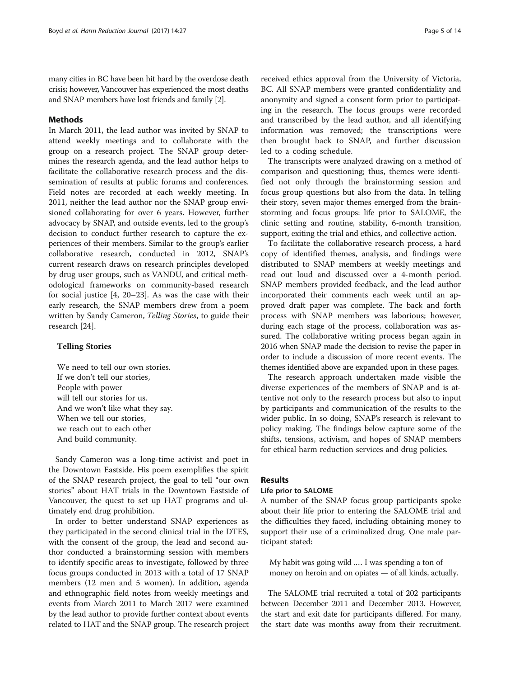many cities in BC have been hit hard by the overdose death crisis; however, Vancouver has experienced the most deaths and SNAP members have lost friends and family [\[2\]](#page-12-0).

# **Methods**

In March 2011, the lead author was invited by SNAP to attend weekly meetings and to collaborate with the group on a research project. The SNAP group determines the research agenda, and the lead author helps to facilitate the collaborative research process and the dissemination of results at public forums and conferences. Field notes are recorded at each weekly meeting. In 2011, neither the lead author nor the SNAP group envisioned collaborating for over 6 years. However, further advocacy by SNAP, and outside events, led to the group's decision to conduct further research to capture the experiences of their members. Similar to the group's earlier collaborative research, conducted in 2012, SNAP's current research draws on research principles developed by drug user groups, such as VANDU, and critical methodological frameworks on community-based research for social justice [\[4](#page-12-0), [20](#page-13-0)–[23\]](#page-13-0). As was the case with their early research, the SNAP members drew from a poem written by Sandy Cameron, *Telling Stories*, to guide their research [[24\]](#page-13-0).

# Telling Stories

We need to tell our own stories. If we don't tell our stories, People with power will tell our stories for us. And we won't like what they say. When we tell our stories, we reach out to each other And build community.

Sandy Cameron was a long-time activist and poet in the Downtown Eastside. His poem exemplifies the spirit of the SNAP research project, the goal to tell "our own stories" about HAT trials in the Downtown Eastside of Vancouver, the quest to set up HAT programs and ultimately end drug prohibition.

In order to better understand SNAP experiences as they participated in the second clinical trial in the DTES, with the consent of the group, the lead and second author conducted a brainstorming session with members to identify specific areas to investigate, followed by three focus groups conducted in 2013 with a total of 17 SNAP members (12 men and 5 women). In addition, agenda and ethnographic field notes from weekly meetings and events from March 2011 to March 2017 were examined by the lead author to provide further context about events related to HAT and the SNAP group. The research project

received ethics approval from the University of Victoria, BC. All SNAP members were granted confidentiality and anonymity and signed a consent form prior to participating in the research. The focus groups were recorded and transcribed by the lead author, and all identifying information was removed; the transcriptions were then brought back to SNAP, and further discussion led to a coding schedule.

The transcripts were analyzed drawing on a method of comparison and questioning; thus, themes were identified not only through the brainstorming session and focus group questions but also from the data. In telling their story, seven major themes emerged from the brainstorming and focus groups: life prior to SALOME, the clinic setting and routine, stability, 6-month transition, support, exiting the trial and ethics, and collective action.

To facilitate the collaborative research process, a hard copy of identified themes, analysis, and findings were distributed to SNAP members at weekly meetings and read out loud and discussed over a 4-month period. SNAP members provided feedback, and the lead author incorporated their comments each week until an approved draft paper was complete. The back and forth process with SNAP members was laborious; however, during each stage of the process, collaboration was assured. The collaborative writing process began again in 2016 when SNAP made the decision to revise the paper in order to include a discussion of more recent events. The themes identified above are expanded upon in these pages.

The research approach undertaken made visible the diverse experiences of the members of SNAP and is attentive not only to the research process but also to input by participants and communication of the results to the wider public. In so doing, SNAP's research is relevant to policy making. The findings below capture some of the shifts, tensions, activism, and hopes of SNAP members for ethical harm reduction services and drug policies.

## Results

# Life prior to SALOME

A number of the SNAP focus group participants spoke about their life prior to entering the SALOME trial and the difficulties they faced, including obtaining money to support their use of a criminalized drug. One male participant stated:

My habit was going wild .… I was spending a ton of money on heroin and on opiates — of all kinds, actually.

The SALOME trial recruited a total of 202 participants between December 2011 and December 2013. However, the start and exit date for participants differed. For many, the start date was months away from their recruitment.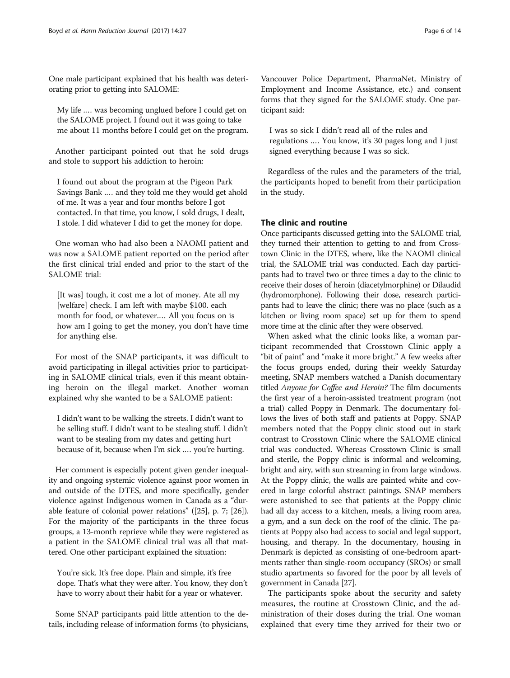One male participant explained that his health was deteriorating prior to getting into SALOME:

My life .… was becoming unglued before I could get on the SALOME project. I found out it was going to take me about 11 months before I could get on the program.

Another participant pointed out that he sold drugs and stole to support his addiction to heroin:

I found out about the program at the Pigeon Park Savings Bank .… and they told me they would get ahold of me. It was a year and four months before I got contacted. In that time, you know, I sold drugs, I dealt, I stole. I did whatever I did to get the money for dope.

One woman who had also been a NAOMI patient and was now a SALOME patient reported on the period after the first clinical trial ended and prior to the start of the SALOME trial:

[It was] tough, it cost me a lot of money. Ate all my [welfare] check. I am left with maybe \$100. each month for food, or whatever.… All you focus on is how am I going to get the money, you don't have time for anything else.

For most of the SNAP participants, it was difficult to avoid participating in illegal activities prior to participating in SALOME clinical trials, even if this meant obtaining heroin on the illegal market. Another woman explained why she wanted to be a SALOME patient:

I didn't want to be walking the streets. I didn't want to be selling stuff. I didn't want to be stealing stuff. I didn't want to be stealing from my dates and getting hurt because of it, because when I'm sick .… you're hurting.

Her comment is especially potent given gender inequality and ongoing systemic violence against poor women in and outside of the DTES, and more specifically, gender violence against Indigenous women in Canada as a "durable feature of colonial power relations" ([\[25\]](#page-13-0), p. 7; [[26](#page-13-0)]). For the majority of the participants in the three focus groups, a 13-month reprieve while they were registered as a patient in the SALOME clinical trial was all that mattered. One other participant explained the situation:

You're sick. It's free dope. Plain and simple, it's free dope. That's what they were after. You know, they don't have to worry about their habit for a year or whatever.

Some SNAP participants paid little attention to the details, including release of information forms (to physicians,

Vancouver Police Department, PharmaNet, Ministry of Employment and Income Assistance, etc.) and consent forms that they signed for the SALOME study. One participant said:

I was so sick I didn't read all of the rules and regulations .… You know, it's 30 pages long and I just signed everything because I was so sick.

Regardless of the rules and the parameters of the trial, the participants hoped to benefit from their participation in the study.

# The clinic and routine

Once participants discussed getting into the SALOME trial, they turned their attention to getting to and from Crosstown Clinic in the DTES, where, like the NAOMI clinical trial, the SALOME trial was conducted. Each day participants had to travel two or three times a day to the clinic to receive their doses of heroin (diacetylmorphine) or Dilaudid (hydromorphone). Following their dose, research participants had to leave the clinic; there was no place (such as a kitchen or living room space) set up for them to spend more time at the clinic after they were observed.

When asked what the clinic looks like, a woman participant recommended that Crosstown Clinic apply a "bit of paint" and "make it more bright." A few weeks after the focus groups ended, during their weekly Saturday meeting, SNAP members watched a Danish documentary titled Anyone for Coffee and Heroin? The film documents the first year of a heroin-assisted treatment program (not a trial) called Poppy in Denmark. The documentary follows the lives of both staff and patients at Poppy. SNAP members noted that the Poppy clinic stood out in stark contrast to Crosstown Clinic where the SALOME clinical trial was conducted. Whereas Crosstown Clinic is small and sterile, the Poppy clinic is informal and welcoming, bright and airy, with sun streaming in from large windows. At the Poppy clinic, the walls are painted white and covered in large colorful abstract paintings. SNAP members were astonished to see that patients at the Poppy clinic had all day access to a kitchen, meals, a living room area, a gym, and a sun deck on the roof of the clinic. The patients at Poppy also had access to social and legal support, housing, and therapy. In the documentary, housing in Denmark is depicted as consisting of one-bedroom apartments rather than single-room occupancy (SROs) or small studio apartments so favored for the poor by all levels of government in Canada [[27](#page-13-0)].

The participants spoke about the security and safety measures, the routine at Crosstown Clinic, and the administration of their doses during the trial. One woman explained that every time they arrived for their two or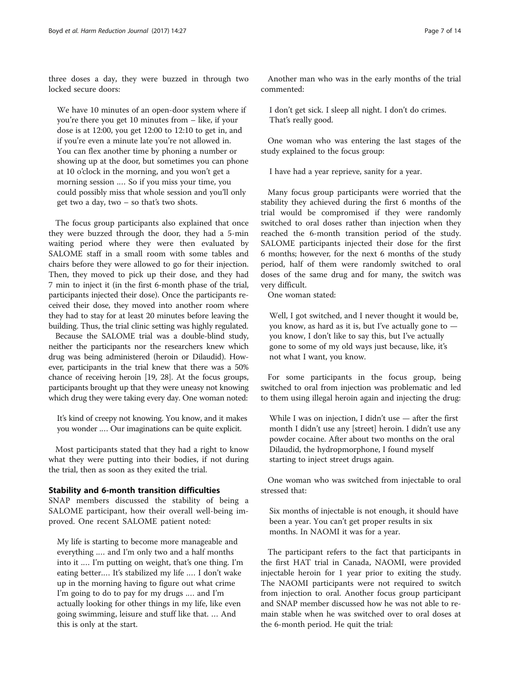three doses a day, they were buzzed in through two locked secure doors:

We have 10 minutes of an open-door system where if you're there you get 10 minutes from – like, if your dose is at 12:00, you get 12:00 to 12:10 to get in, and if you're even a minute late you're not allowed in. You can flex another time by phoning a number or showing up at the door, but sometimes you can phone at 10 o'clock in the morning, and you won't get a morning session .… So if you miss your time, you could possibly miss that whole session and you'll only get two a day, two – so that's two shots.

The focus group participants also explained that once they were buzzed through the door, they had a 5-min waiting period where they were then evaluated by SALOME staff in a small room with some tables and chairs before they were allowed to go for their injection. Then, they moved to pick up their dose, and they had 7 min to inject it (in the first 6-month phase of the trial, participants injected their dose). Once the participants received their dose, they moved into another room where they had to stay for at least 20 minutes before leaving the building. Thus, the trial clinic setting was highly regulated.

Because the SALOME trial was a double-blind study, neither the participants nor the researchers knew which drug was being administered (heroin or Dilaudid). However, participants in the trial knew that there was a 50% chance of receiving heroin [\[19](#page-13-0), [28](#page-13-0)]. At the focus groups, participants brought up that they were uneasy not knowing which drug they were taking every day. One woman noted:

It's kind of creepy not knowing. You know, and it makes you wonder .… Our imaginations can be quite explicit.

Most participants stated that they had a right to know what they were putting into their bodies, if not during the trial, then as soon as they exited the trial.

## Stability and 6-month transition difficulties

SNAP members discussed the stability of being a SALOME participant, how their overall well-being improved. One recent SALOME patient noted:

My life is starting to become more manageable and everything .… and I'm only two and a half months into it .… I'm putting on weight, that's one thing. I'm eating better.… It's stabilized my life .… I don't wake up in the morning having to figure out what crime I'm going to do to pay for my drugs .… and I'm actually looking for other things in my life, like even going swimming, leisure and stuff like that. … And this is only at the start.

Another man who was in the early months of the trial commented:

I don't get sick. I sleep all night. I don't do crimes. That's really good.

One woman who was entering the last stages of the study explained to the focus group:

I have had a year reprieve, sanity for a year.

Many focus group participants were worried that the stability they achieved during the first 6 months of the trial would be compromised if they were randomly switched to oral doses rather than injection when they reached the 6-month transition period of the study. SALOME participants injected their dose for the first 6 months; however, for the next 6 months of the study period, half of them were randomly switched to oral doses of the same drug and for many, the switch was very difficult.

One woman stated:

Well, I got switched, and I never thought it would be, you know, as hard as it is, but I've actually gone to you know, I don't like to say this, but I've actually gone to some of my old ways just because, like, it's not what I want, you know.

For some participants in the focus group, being switched to oral from injection was problematic and led to them using illegal heroin again and injecting the drug:

While I was on injection, I didn't use — after the first month I didn't use any [street] heroin. I didn't use any powder cocaine. After about two months on the oral Dilaudid, the hydropmorphone, I found myself starting to inject street drugs again.

One woman who was switched from injectable to oral stressed that:

Six months of injectable is not enough, it should have been a year. You can't get proper results in six months. In NAOMI it was for a year.

The participant refers to the fact that participants in the first HAT trial in Canada, NAOMI, were provided injectable heroin for 1 year prior to exiting the study. The NAOMI participants were not required to switch from injection to oral. Another focus group participant and SNAP member discussed how he was not able to remain stable when he was switched over to oral doses at the 6-month period. He quit the trial: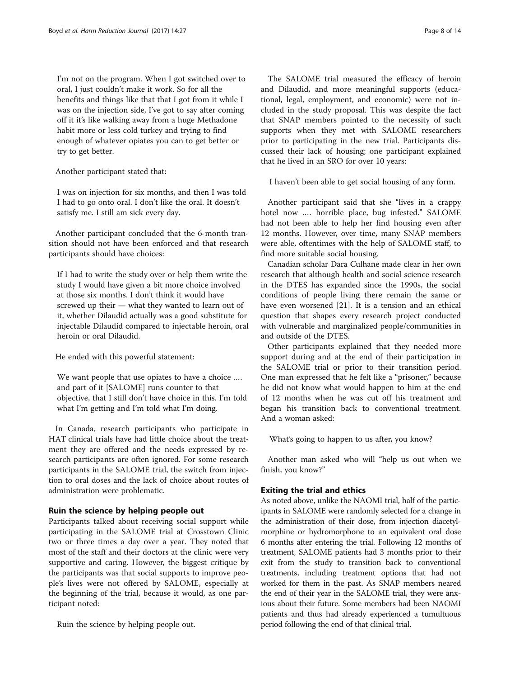I'm not on the program. When I got switched over to oral, I just couldn't make it work. So for all the benefits and things like that that I got from it while I was on the injection side, I've got to say after coming off it it's like walking away from a huge Methadone habit more or less cold turkey and trying to find enough of whatever opiates you can to get better or try to get better.

Another participant stated that:

I was on injection for six months, and then I was told I had to go onto oral. I don't like the oral. It doesn't satisfy me. I still am sick every day.

Another participant concluded that the 6-month transition should not have been enforced and that research participants should have choices:

If I had to write the study over or help them write the study I would have given a bit more choice involved at those six months. I don't think it would have screwed up their — what they wanted to learn out of it, whether Dilaudid actually was a good substitute for injectable Dilaudid compared to injectable heroin, oral heroin or oral Dilaudid.

He ended with this powerful statement:

We want people that use opiates to have a choice .… and part of it [SALOME] runs counter to that objective, that I still don't have choice in this. I'm told what I'm getting and I'm told what I'm doing.

In Canada, research participants who participate in HAT clinical trials have had little choice about the treatment they are offered and the needs expressed by research participants are often ignored. For some research participants in the SALOME trial, the switch from injection to oral doses and the lack of choice about routes of administration were problematic.

# Ruin the science by helping people out

Participants talked about receiving social support while participating in the SALOME trial at Crosstown Clinic two or three times a day over a year. They noted that most of the staff and their doctors at the clinic were very supportive and caring. However, the biggest critique by the participants was that social supports to improve people's lives were not offered by SALOME, especially at the beginning of the trial, because it would, as one participant noted:

Ruin the science by helping people out.

The SALOME trial measured the efficacy of heroin and Dilaudid, and more meaningful supports (educational, legal, employment, and economic) were not included in the study proposal. This was despite the fact that SNAP members pointed to the necessity of such supports when they met with SALOME researchers prior to participating in the new trial. Participants discussed their lack of housing; one participant explained that he lived in an SRO for over 10 years:

I haven't been able to get social housing of any form.

Another participant said that she "lives in a crappy hotel now .… horrible place, bug infested." SALOME had not been able to help her find housing even after 12 months. However, over time, many SNAP members were able, oftentimes with the help of SALOME staff, to find more suitable social housing.

Canadian scholar Dara Culhane made clear in her own research that although health and social science research in the DTES has expanded since the 1990s, the social conditions of people living there remain the same or have even worsened [\[21](#page-13-0)]. It is a tension and an ethical question that shapes every research project conducted with vulnerable and marginalized people/communities in and outside of the DTES.

Other participants explained that they needed more support during and at the end of their participation in the SALOME trial or prior to their transition period. One man expressed that he felt like a "prisoner," because he did not know what would happen to him at the end of 12 months when he was cut off his treatment and began his transition back to conventional treatment. And a woman asked:

What's going to happen to us after, you know?

Another man asked who will "help us out when we finish, you know?"

## Exiting the trial and ethics

As noted above, unlike the NAOMI trial, half of the participants in SALOME were randomly selected for a change in the administration of their dose, from injection diacetylmorphine or hydromorphone to an equivalent oral dose 6 months after entering the trial. Following 12 months of treatment, SALOME patients had 3 months prior to their exit from the study to transition back to conventional treatments, including treatment options that had not worked for them in the past. As SNAP members neared the end of their year in the SALOME trial, they were anxious about their future. Some members had been NAOMI patients and thus had already experienced a tumultuous period following the end of that clinical trial.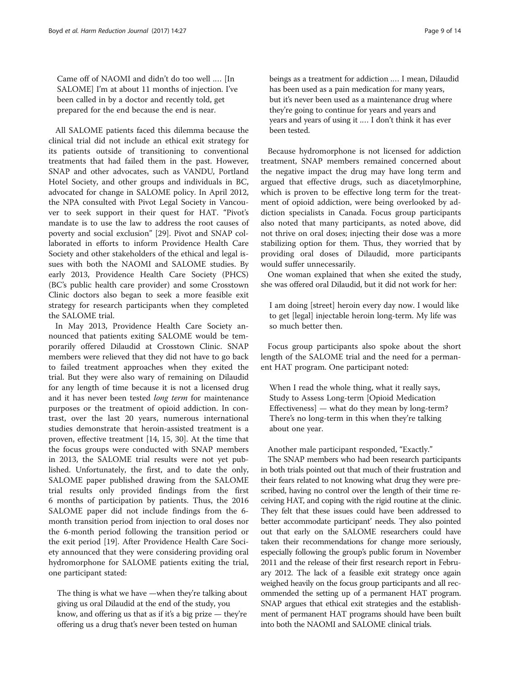Came off of NAOMI and didn't do too well .… [In SALOME] I'm at about 11 months of injection. I've been called in by a doctor and recently told, get prepared for the end because the end is near.

All SALOME patients faced this dilemma because the clinical trial did not include an ethical exit strategy for its patients outside of transitioning to conventional treatments that had failed them in the past. However, SNAP and other advocates, such as VANDU, Portland Hotel Society, and other groups and individuals in BC, advocated for change in SALOME policy. In April 2012, the NPA consulted with Pivot Legal Society in Vancouver to seek support in their quest for HAT. "Pivot's mandate is to use the law to address the root causes of poverty and social exclusion" [[29](#page-13-0)]. Pivot and SNAP collaborated in efforts to inform Providence Health Care Society and other stakeholders of the ethical and legal issues with both the NAOMI and SALOME studies. By early 2013, Providence Health Care Society (PHCS) (BC's public health care provider) and some Crosstown Clinic doctors also began to seek a more feasible exit strategy for research participants when they completed the SALOME trial.

In May 2013, Providence Health Care Society announced that patients exiting SALOME would be temporarily offered Dilaudid at Crosstown Clinic. SNAP members were relieved that they did not have to go back to failed treatment approaches when they exited the trial. But they were also wary of remaining on Dilaudid for any length of time because it is not a licensed drug and it has never been tested long term for maintenance purposes or the treatment of opioid addiction. In contrast, over the last 20 years, numerous international studies demonstrate that heroin-assisted treatment is a proven, effective treatment [[14, 15](#page-12-0), [30](#page-13-0)]. At the time that the focus groups were conducted with SNAP members in 2013, the SALOME trial results were not yet published. Unfortunately, the first, and to date the only, SALOME paper published drawing from the SALOME trial results only provided findings from the first 6 months of participation by patients. Thus, the 2016 SALOME paper did not include findings from the 6 month transition period from injection to oral doses nor the 6-month period following the transition period or the exit period [\[19](#page-13-0)]. After Providence Health Care Society announced that they were considering providing oral hydromorphone for SALOME patients exiting the trial, one participant stated:

The thing is what we have —when they're talking about giving us oral Dilaudid at the end of the study, you know, and offering us that as if it's a big prize — they're offering us a drug that's never been tested on human

beings as a treatment for addiction .… I mean, Dilaudid has been used as a pain medication for many years, but it's never been used as a maintenance drug where they're going to continue for years and years and years and years of using it .… I don't think it has ever been tested.

Because hydromorphone is not licensed for addiction treatment, SNAP members remained concerned about the negative impact the drug may have long term and argued that effective drugs, such as diacetylmorphine, which is proven to be effective long term for the treatment of opioid addiction, were being overlooked by addiction specialists in Canada. Focus group participants also noted that many participants, as noted above, did not thrive on oral doses; injecting their dose was a more stabilizing option for them. Thus, they worried that by providing oral doses of Dilaudid, more participants would suffer unnecessarily.

One woman explained that when she exited the study, she was offered oral Dilaudid, but it did not work for her:

I am doing [street] heroin every day now. I would like to get [legal] injectable heroin long-term. My life was so much better then.

Focus group participants also spoke about the short length of the SALOME trial and the need for a permanent HAT program. One participant noted:

When I read the whole thing, what it really says, Study to Assess Long-term [Opioid Medication Effectiveness] — what do they mean by long-term? There's no long-term in this when they're talking about one year.

Another male participant responded, "Exactly."

The SNAP members who had been research participants in both trials pointed out that much of their frustration and their fears related to not knowing what drug they were prescribed, having no control over the length of their time receiving HAT, and coping with the rigid routine at the clinic. They felt that these issues could have been addressed to better accommodate participant' needs. They also pointed out that early on the SALOME researchers could have taken their recommendations for change more seriously, especially following the group's public forum in November 2011 and the release of their first research report in February 2012. The lack of a feasible exit strategy once again weighed heavily on the focus group participants and all recommended the setting up of a permanent HAT program. SNAP argues that ethical exit strategies and the establishment of permanent HAT programs should have been built into both the NAOMI and SALOME clinical trials.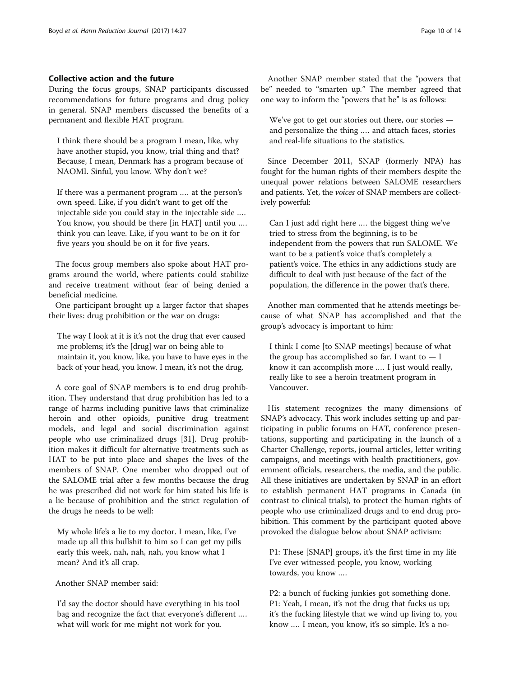# Collective action and the future

During the focus groups, SNAP participants discussed recommendations for future programs and drug policy in general. SNAP members discussed the benefits of a permanent and flexible HAT program.

I think there should be a program I mean, like, why have another stupid, you know, trial thing and that? Because, I mean, Denmark has a program because of NAOMI. Sinful, you know. Why don't we?

If there was a permanent program .… at the person's own speed. Like, if you didn't want to get off the injectable side you could stay in the injectable side .… You know, you should be there [in HAT] until you .… think you can leave. Like, if you want to be on it for five years you should be on it for five years.

The focus group members also spoke about HAT programs around the world, where patients could stabilize and receive treatment without fear of being denied a beneficial medicine.

One participant brought up a larger factor that shapes their lives: drug prohibition or the war on drugs:

The way I look at it is it's not the drug that ever caused me problems; it's the [drug] war on being able to maintain it, you know, like, you have to have eyes in the back of your head, you know. I mean, it's not the drug.

A core goal of SNAP members is to end drug prohibition. They understand that drug prohibition has led to a range of harms including punitive laws that criminalize heroin and other opioids, punitive drug treatment models, and legal and social discrimination against people who use criminalized drugs [\[31](#page-13-0)]. Drug prohibition makes it difficult for alternative treatments such as HAT to be put into place and shapes the lives of the members of SNAP. One member who dropped out of the SALOME trial after a few months because the drug he was prescribed did not work for him stated his life is a lie because of prohibition and the strict regulation of the drugs he needs to be well:

My whole life's a lie to my doctor. I mean, like, I've made up all this bullshit to him so I can get my pills early this week, nah, nah, nah, you know what I mean? And it's all crap.

Another SNAP member said:

I'd say the doctor should have everything in his tool bag and recognize the fact that everyone's different .… what will work for me might not work for you.

Another SNAP member stated that the "powers that be" needed to "smarten up." The member agreed that one way to inform the "powers that be" is as follows:

We've got to get our stories out there, our stories and personalize the thing .… and attach faces, stories and real-life situations to the statistics.

Since December 2011, SNAP (formerly NPA) has fought for the human rights of their members despite the unequal power relations between SALOME researchers and patients. Yet, the voices of SNAP members are collectively powerful:

Can I just add right here .… the biggest thing we've tried to stress from the beginning, is to be independent from the powers that run SALOME. We want to be a patient's voice that's completely a patient's voice. The ethics in any addictions study are difficult to deal with just because of the fact of the population, the difference in the power that's there.

Another man commented that he attends meetings because of what SNAP has accomplished and that the group's advocacy is important to him:

I think I come [to SNAP meetings] because of what the group has accomplished so far. I want to  $-1$ know it can accomplish more .… I just would really, really like to see a heroin treatment program in Vancouver.

His statement recognizes the many dimensions of SNAP's advocacy. This work includes setting up and participating in public forums on HAT, conference presentations, supporting and participating in the launch of a Charter Challenge, reports, journal articles, letter writing campaigns, and meetings with health practitioners, government officials, researchers, the media, and the public. All these initiatives are undertaken by SNAP in an effort to establish permanent HAT programs in Canada (in contrast to clinical trials), to protect the human rights of people who use criminalized drugs and to end drug prohibition. This comment by the participant quoted above provoked the dialogue below about SNAP activism:

P1: These [SNAP] groups, it's the first time in my life I've ever witnessed people, you know, working towards, you know .…

P2: a bunch of fucking junkies got something done. P1: Yeah, I mean, it's not the drug that fucks us up; it's the fucking lifestyle that we wind up living to, you know .… I mean, you know, it's so simple. It's a no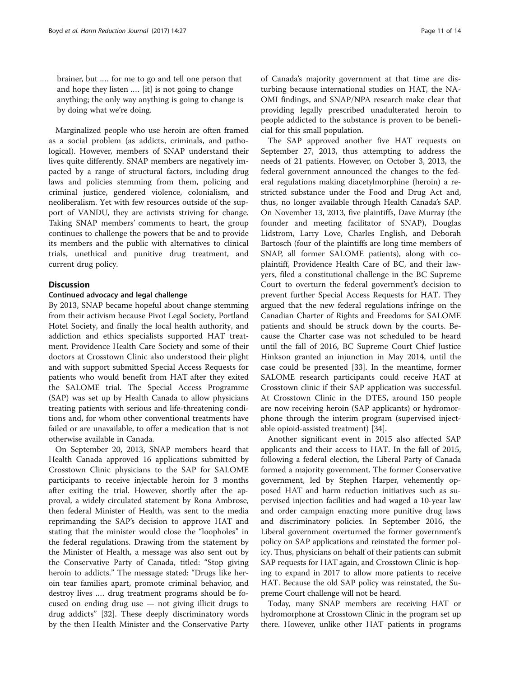brainer, but .… for me to go and tell one person that and hope they listen .… [it] is not going to change anything; the only way anything is going to change is by doing what we're doing.

Marginalized people who use heroin are often framed as a social problem (as addicts, criminals, and pathological). However, members of SNAP understand their lives quite differently. SNAP members are negatively impacted by a range of structural factors, including drug laws and policies stemming from them, policing and criminal justice, gendered violence, colonialism, and neoliberalism. Yet with few resources outside of the support of VANDU, they are activists striving for change. Taking SNAP members' comments to heart, the group continues to challenge the powers that be and to provide its members and the public with alternatives to clinical trials, unethical and punitive drug treatment, and current drug policy.

# **Discussion**

#### Continued advocacy and legal challenge

By 2013, SNAP became hopeful about change stemming from their activism because Pivot Legal Society, Portland Hotel Society, and finally the local health authority, and addiction and ethics specialists supported HAT treatment. Providence Health Care Society and some of their doctors at Crosstown Clinic also understood their plight and with support submitted Special Access Requests for patients who would benefit from HAT after they exited the SALOME trial. The Special Access Programme (SAP) was set up by Health Canada to allow physicians treating patients with serious and life-threatening conditions and, for whom other conventional treatments have failed or are unavailable, to offer a medication that is not otherwise available in Canada.

On September 20, 2013, SNAP members heard that Health Canada approved 16 applications submitted by Crosstown Clinic physicians to the SAP for SALOME participants to receive injectable heroin for 3 months after exiting the trial. However, shortly after the approval, a widely circulated statement by Rona Ambrose, then federal Minister of Health, was sent to the media reprimanding the SAP's decision to approve HAT and stating that the minister would close the "loopholes" in the federal regulations. Drawing from the statement by the Minister of Health, a message was also sent out by the Conservative Party of Canada, titled: "Stop giving heroin to addicts." The message stated: "Drugs like heroin tear families apart, promote criminal behavior, and destroy lives .… drug treatment programs should be focused on ending drug use — not giving illicit drugs to drug addicts" [\[32](#page-13-0)]. These deeply discriminatory words by the then Health Minister and the Conservative Party of Canada's majority government at that time are disturbing because international studies on HAT, the NA-OMI findings, and SNAP/NPA research make clear that providing legally prescribed unadulterated heroin to people addicted to the substance is proven to be beneficial for this small population.

The SAP approved another five HAT requests on September 27, 2013, thus attempting to address the needs of 21 patients. However, on October 3, 2013, the federal government announced the changes to the federal regulations making diacetylmorphine (heroin) a restricted substance under the Food and Drug Act and, thus, no longer available through Health Canada's SAP. On November 13, 2013, five plaintiffs, Dave Murray (the founder and meeting facilitator of SNAP), Douglas Lidstrom, Larry Love, Charles English, and Deborah Bartosch (four of the plaintiffs are long time members of SNAP, all former SALOME patients), along with coplaintiff, Providence Health Care of BC, and their lawyers, filed a constitutional challenge in the BC Supreme Court to overturn the federal government's decision to prevent further Special Access Requests for HAT. They argued that the new federal regulations infringe on the Canadian Charter of Rights and Freedoms for SALOME patients and should be struck down by the courts. Because the Charter case was not scheduled to be heard until the fall of 2016, BC Supreme Court Chief Justice Hinkson granted an injunction in May 2014, until the case could be presented [[33\]](#page-13-0). In the meantime, former SALOME research participants could receive HAT at Crosstown clinic if their SAP application was successful. At Crosstown Clinic in the DTES, around 150 people are now receiving heroin (SAP applicants) or hydromorphone through the interim program (supervised injectable opioid-assisted treatment) [[34\]](#page-13-0).

Another significant event in 2015 also affected SAP applicants and their access to HAT. In the fall of 2015, following a federal election, the Liberal Party of Canada formed a majority government. The former Conservative government, led by Stephen Harper, vehemently opposed HAT and harm reduction initiatives such as supervised injection facilities and had waged a 10-year law and order campaign enacting more punitive drug laws and discriminatory policies. In September 2016, the Liberal government overturned the former government's policy on SAP applications and reinstated the former policy. Thus, physicians on behalf of their patients can submit SAP requests for HAT again, and Crosstown Clinic is hoping to expand in 2017 to allow more patients to receive HAT. Because the old SAP policy was reinstated, the Supreme Court challenge will not be heard.

Today, many SNAP members are receiving HAT or hydromorphone at Crosstown Clinic in the program set up there. However, unlike other HAT patients in programs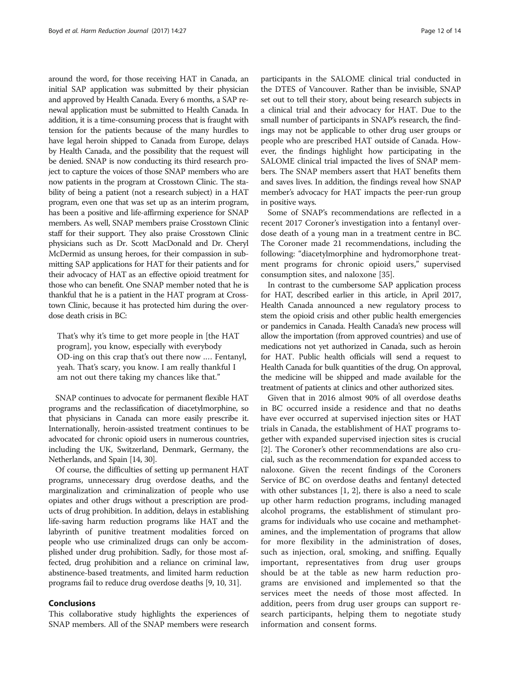around the word, for those receiving HAT in Canada, an initial SAP application was submitted by their physician and approved by Health Canada. Every 6 months, a SAP renewal application must be submitted to Health Canada. In addition, it is a time-consuming process that is fraught with tension for the patients because of the many hurdles to have legal heroin shipped to Canada from Europe, delays by Health Canada, and the possibility that the request will be denied. SNAP is now conducting its third research project to capture the voices of those SNAP members who are now patients in the program at Crosstown Clinic. The stability of being a patient (not a research subject) in a HAT program, even one that was set up as an interim program, has been a positive and life-affirming experience for SNAP members. As well, SNAP members praise Crosstown Clinic staff for their support. They also praise Crosstown Clinic physicians such as Dr. Scott MacDonald and Dr. Cheryl McDermid as unsung heroes, for their compassion in submitting SAP applications for HAT for their patients and for their advocacy of HAT as an effective opioid treatment for those who can benefit. One SNAP member noted that he is thankful that he is a patient in the HAT program at Crosstown Clinic, because it has protected him during the overdose death crisis in BC:

That's why it's time to get more people in [the HAT program], you know, especially with everybody OD-ing on this crap that's out there now .… Fentanyl, yeah. That's scary, you know. I am really thankful I am not out there taking my chances like that."

SNAP continues to advocate for permanent flexible HAT programs and the reclassification of diacetylmorphine, so that physicians in Canada can more easily prescribe it. Internationally, heroin-assisted treatment continues to be advocated for chronic opioid users in numerous countries, including the UK, Switzerland, Denmark, Germany, the Netherlands, and Spain [\[14,](#page-12-0) [30](#page-13-0)].

Of course, the difficulties of setting up permanent HAT programs, unnecessary drug overdose deaths, and the marginalization and criminalization of people who use opiates and other drugs without a prescription are products of drug prohibition. In addition, delays in establishing life-saving harm reduction programs like HAT and the labyrinth of punitive treatment modalities forced on people who use criminalized drugs can only be accomplished under drug prohibition. Sadly, for those most affected, drug prohibition and a reliance on criminal law, abstinence-based treatments, and limited harm reduction programs fail to reduce drug overdose deaths [\[9](#page-12-0), [10](#page-12-0), [31\]](#page-13-0).

# Conclusions

This collaborative study highlights the experiences of SNAP members. All of the SNAP members were research

participants in the SALOME clinical trial conducted in the DTES of Vancouver. Rather than be invisible, SNAP set out to tell their story, about being research subjects in a clinical trial and their advocacy for HAT. Due to the small number of participants in SNAP's research, the findings may not be applicable to other drug user groups or people who are prescribed HAT outside of Canada. However, the findings highlight how participating in the SALOME clinical trial impacted the lives of SNAP members. The SNAP members assert that HAT benefits them and saves lives. In addition, the findings reveal how SNAP member's advocacy for HAT impacts the peer-run group in positive ways.

Some of SNAP's recommendations are reflected in a recent 2017 Coroner's investigation into a fentanyl overdose death of a young man in a treatment centre in BC. The Coroner made 21 recommendations, including the following: "diacetylmorphine and hydromorphone treatment programs for chronic opioid users," supervised consumption sites, and naloxone [[35](#page-13-0)].

In contrast to the cumbersome SAP application process for HAT, described earlier in this article, in April 2017, Health Canada announced a new regulatory process to stem the opioid crisis and other public health emergencies or pandemics in Canada. Health Canada's new process will allow the importation (from approved countries) and use of medications not yet authorized in Canada, such as heroin for HAT. Public health officials will send a request to Health Canada for bulk quantities of the drug. On approval, the medicine will be shipped and made available for the treatment of patients at clinics and other authorized sites.

Given that in 2016 almost 90% of all overdose deaths in BC occurred inside a residence and that no deaths have ever occurred at supervised injection sites or HAT trials in Canada, the establishment of HAT programs together with expanded supervised injection sites is crucial [[2\]](#page-12-0). The Coroner's other recommendations are also crucial, such as the recommendation for expanded access to naloxone. Given the recent findings of the Coroners Service of BC on overdose deaths and fentanyl detected with other substances [[1, 2\]](#page-12-0), there is also a need to scale up other harm reduction programs, including managed alcohol programs, the establishment of stimulant programs for individuals who use cocaine and methamphetamines, and the implementation of programs that allow for more flexibility in the administration of doses, such as injection, oral, smoking, and sniffing. Equally important, representatives from drug user groups should be at the table as new harm reduction programs are envisioned and implemented so that the services meet the needs of those most affected. In addition, peers from drug user groups can support research participants, helping them to negotiate study information and consent forms.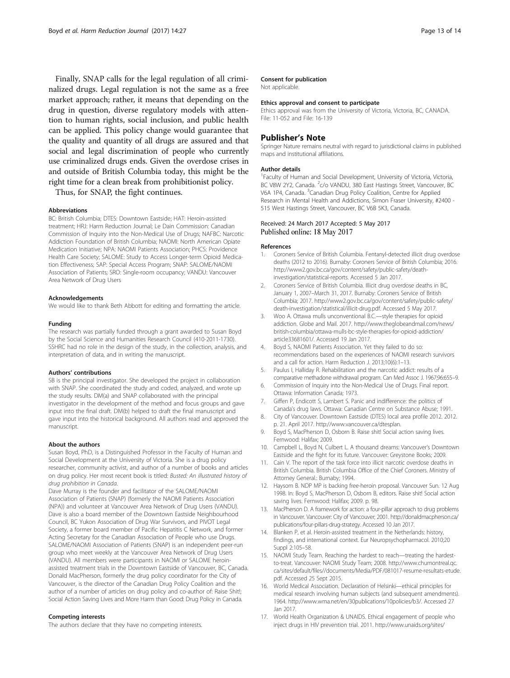<span id="page-12-0"></span>Finally, SNAP calls for the legal regulation of all criminalized drugs. Legal regulation is not the same as a free market approach; rather, it means that depending on the drug in question, diverse regulatory models with attention to human rights, social inclusion, and public health can be applied. This policy change would guarantee that the quality and quantity of all drugs are assured and that social and legal discrimination of people who currently use criminalized drugs ends. Given the overdose crises in and outside of British Columbia today, this might be the right time for a clean break from prohibitionist policy.

Thus, for SNAP, the fight continues.

#### Abbreviations

BC: British Columbia; DTES: Downtown Eastside; HAT: Heroin-assisted treatment; HRJ: Harm Reduction Journal; Le Dain Commission: Canadian Commission of Inquiry into the Non-Medical Use of Drugs; NAFBC: Narcotic Addiction Foundation of British Columbia; NAOMI: North American Opiate Medication Initiative; NPA: NAOMI Patients Association; PHCS: Providence Health Care Society; SALOME: Study to Access Longer-term Opioid Medication Effectiveness; SAP: Special Access Program; SNAP: SALOME/NAOMI Association of Patients; SRO: Single-room occupancy; VANDU: Vancouver Area Network of Drug Users

#### Acknowledgements

We would like to thank Beth Abbott for editing and formatting the article.

#### Funding

The research was partially funded through a grant awarded to Susan Boyd by the Social Science and Humanities Research Council (410-2011-1730). SSHRC had no role in the design of the study, in the collection, analysis, and interpretation of data, and in writing the manuscript.

#### Authors' contributions

SB is the principal investigator. She developed the project in collaboration with SNAP. She coordinated the study and coded, analyzed, and wrote up the study results. DM(a) and SNAP collaborated with the principal investigator in the development of the method and focus groups and gave input into the final draft. DM(b) helped to draft the final manuscript and gave input into the historical background. All authors read and approved the manuscript.

#### About the authors

Susan Boyd, PhD, is a Distinguished Professor in the Faculty of Human and Social Development at the University of Victoria. She is a drug policy researcher, community activist, and author of a number of books and articles on drug policy. Her most recent book is titled: Busted: An illustrated history of drug prohibition in Canada.

Dave Murray is the founder and facilitator of the SALOME/NAOMI Association of Patients (SNAP) (formerly the NAOMI Patients Association (NPA)) and volunteer at Vancouver Area Network of Drug Users (VANDU). Dave is also a board member of the Downtown Eastside Neighbourhood Council, BC Yukon Association of Drug War Survivors, and PIVOT Legal Society, a former board member of Pacific Hepatitis C Network, and former Acting Secretary for the Canadian Association of People who use Drugs. SALOME/NAOMI Association of Patients (SNAP) is an independent peer-run group who meet weekly at the Vancouver Area Network of Drug Users (VANDU). All members were participants in NAOMI or SALOME heroinassisted treatment trials in the Downtown Eastside of Vancouver, BC, Canada. Donald MacPherson, formerly the drug policy coordinator for the City of Vancouver, is the director of the Canadian Drug Policy Coalition and the author of a number of articles on drug policy and co-author of: Raise Shit!; Social Action Saving Lives and More Harm than Good: Drug Policy in Canada.

#### Competing interests

The authors declare that they have no competing interests.

#### Consent for publication

Not applicable.

#### Ethics approval and consent to participate

Ethics approval was from the University of Victoria, Victoria, BC, CANADA. File: 11-052 and File: 16-139

#### Publisher's Note

Springer Nature remains neutral with regard to jurisdictional claims in published maps and institutional affiliations.

#### Author details

<sup>1</sup> Faculty of Human and Social Development, University of Victoria, Victoria, BC V8W 2Y2, Canada. <sup>2</sup>c/o VANDU, 380 East Hastings Street, Vancouver, BC V6A 1P4, Canada. <sup>3</sup>Canadian Drug Policy Coalition, Centre for Applied Research in Mental Health and Addictions, Simon Fraser University, #2400 - 515 West Hastings Street, Vancouver, BC V6B 5K3, Canada.

#### Received: 24 March 2017 Accepted: 5 May 2017 Published online: 18 May 2017

#### References

- 1. Coroners Service of British Columbia. Fentanyl-detected illicit drug overdose deaths (2012 to 2016). Burnaby: Coroners Service of British Columbia; 2016. [http://www2.gov.bc.ca/gov/content/safety/public-safety/death](http://www2.gov.bc.ca/gov/content/safety/public-safety/death-investigation/statistical-reports)[investigation/statistical-reports](http://www2.gov.bc.ca/gov/content/safety/public-safety/death-investigation/statistical-reports). Accessed 5 Jan 2017.
- 2. Coroners Service of British Columbia. Illicit drug overdose deaths in BC, January 1, 2007–March 31, 2017. Burnaby: Coroners Service of British Columbia; 2017. [http://www2.gov.bc.ca/gov/content/safety/public-safety/](http://www2.gov.bc.ca/gov/content/safety/public-safety/death-investigation/statistical/illicit-drug.pdf) [death-investigation/statistical/illicit-drug.pdf.](http://www2.gov.bc.ca/gov/content/safety/public-safety/death-investigation/statistical/illicit-drug.pdf) Accessed 5 May 2017.
- 3. Woo A. Ottawa mulls unconventional B.C.—style therapies for opioid addiction. Globe and Mail. 2017. [http://www.theglobeandmail.com/news/](http://www.theglobeandmail.com/news/british-columbia/ottawa-mulls-bc-style-therapies-for-opioid-addiction/article33681601/) [british-columbia/ottawa-mulls-bc-style-therapies-for-opioid-addiction/](http://www.theglobeandmail.com/news/british-columbia/ottawa-mulls-bc-style-therapies-for-opioid-addiction/article33681601/) [article33681601/](http://www.theglobeandmail.com/news/british-columbia/ottawa-mulls-bc-style-therapies-for-opioid-addiction/article33681601/). Accessed 19 Jan 2017.
- 4. Boyd S, NAOMI Patients Association. Yet they failed to do so: recommendations based on the experiences of NAOMI research survivors and a call for action. Harm Reduction J. 2013;10(6):1–13.
- 5. Paulus I, Halliday R. Rehabilitation and the narcotic addict: results of a comparative methadone withdrawal program. Can Med Assoc J. 1967;96:655–9.
- 6. Commission of Inquiry into the Non-Medical Use of Drugs. Final report. Ottawa: Information Canada; 1973.
- 7. Giffen P, Endicott S, Lambert S. Panic and indifference: the politics of Canada's drug laws. Ottawa: Canadian Centre on Substance Abuse; 1991.
- 8. City of Vancouver. Downtown Eastside (DTES) local area profile 2012. 2012. p. 21. April 2017. [http://www.vancouver.ca/dtesplan.](http://www.vancouver.ca/dtesplan)
- 9. Boyd S, MacPherson D, Osborn B. Raise shit! Social action saving lives. Fernwood: Halifax; 2009.
- 10. Campbell L, Boyd N, Culbert L. A thousand dreams: Vancouver's Downtown Eastside and the fight for its future. Vancouver: Greystone Books; 2009.
- 11. Cain V. The report of the task force into illicit narcotic overdose deaths in British Columbia. British Columbia Office of the Chief Coroners. Ministry of Attorney General.: Burnaby; 1994.
- 12. Haysom B. NDP MP is backing free-heroin proposal. Vancouver Sun. 12 Aug 1998. In: Boyd S, MacPherson D, Osborn B, editors. Raise shit! Social action saving lives. Fernwood: Halifax; 2009. p. 98.
- 13. MacPherson D. A framework for action: a four-pillar approach to drug problems in Vancouver. Vancouver: City of Vancouver; 2001. [http://donaldmacpherson.ca/](http://donaldmacpherson.ca/publications/four-pillars-drug-strategy) [publications/four-pillars-drug-strategy.](http://donaldmacpherson.ca/publications/four-pillars-drug-strategy) Accessed 10 Jan 2017.
- 14. Blanken P, et al. Heroin-assisted treatment in the Netherlands: history, findings, and international context. Eur Neuropsychopharmacol. 2010;20 Suppl 2:105–58.
- 15. NAOMI Study Team. Reaching the hardest to reach—treating the hardestto-treat. Vancouver: NAOMI Study Team; 2008. [http://www.chumontreal.qc.](http://www.chumontreal.qc.ca/sites/default/files//documents/Media/PDF/081017-resume-resultats-etude.pdf) [ca/sites/default/files//documents/Media/PDF/081017-resume-resultats-etude.](http://www.chumontreal.qc.ca/sites/default/files//documents/Media/PDF/081017-resume-resultats-etude.pdf) [pdf](http://www.chumontreal.qc.ca/sites/default/files//documents/Media/PDF/081017-resume-resultats-etude.pdf). Accessed 25 Sept 2015.
- 16. World Medical Association. Declaration of Helsinki—ethical principles for medical research involving human subjects (and subsequent amendments). 1964. [http://www.wma.net/en/30publications/10policies/b3/.](http://www.wma.net/en/30publications/10policies/b3/) Accessed 27 Jan 2017.
- 17. World Health Organization & UNAIDS. Ethical engagement of people who inject drugs in HIV prevention trial. 2011. [http://www.unaids.org/sites/](http://www.unaids.org/sites/default/files/media_asset/20110429-Ethical-engagement-people-inject-drugs-HIV-prevention-trials_en_0.pdf)